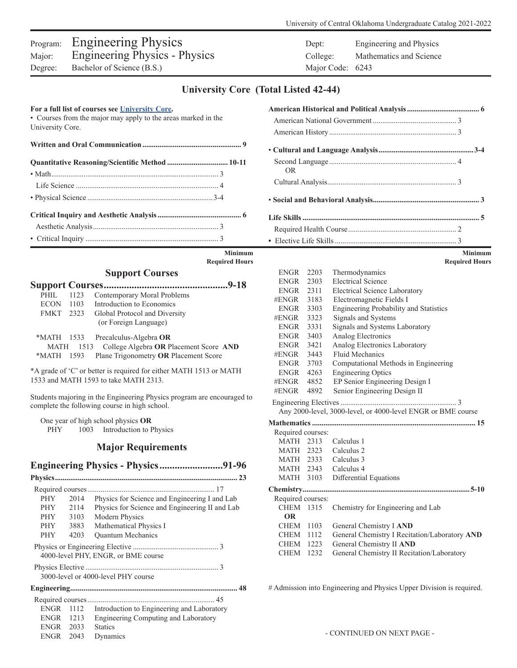# Program: Engineering Physics Dept: Engineering and Physics Major: Engineering Physics - Physics College: Mathematics and Science Degree: Bachelor of Science (B.S.) Major Code: 6243

| Bachelor of Science (B.S.)<br>Degree:                                                                                                                                                                                                                                                                                                                                                                                                                           | Major Code: 6243                                                                                                                                                                                                                                                                                                                                                                                                                                                                                                                                                                                                                                                                                         |                               |
|-----------------------------------------------------------------------------------------------------------------------------------------------------------------------------------------------------------------------------------------------------------------------------------------------------------------------------------------------------------------------------------------------------------------------------------------------------------------|----------------------------------------------------------------------------------------------------------------------------------------------------------------------------------------------------------------------------------------------------------------------------------------------------------------------------------------------------------------------------------------------------------------------------------------------------------------------------------------------------------------------------------------------------------------------------------------------------------------------------------------------------------------------------------------------------------|-------------------------------|
|                                                                                                                                                                                                                                                                                                                                                                                                                                                                 | <b>University Core</b> (Total Listed 42-44)                                                                                                                                                                                                                                                                                                                                                                                                                                                                                                                                                                                                                                                              |                               |
| For a full list of courses see University Core.<br>• Courses from the major may apply to the areas marked in the<br>University Core.                                                                                                                                                                                                                                                                                                                            |                                                                                                                                                                                                                                                                                                                                                                                                                                                                                                                                                                                                                                                                                                          |                               |
|                                                                                                                                                                                                                                                                                                                                                                                                                                                                 |                                                                                                                                                                                                                                                                                                                                                                                                                                                                                                                                                                                                                                                                                                          |                               |
| Quantitative Reasoning/Scientific Method  10-11                                                                                                                                                                                                                                                                                                                                                                                                                 | OR.                                                                                                                                                                                                                                                                                                                                                                                                                                                                                                                                                                                                                                                                                                      |                               |
|                                                                                                                                                                                                                                                                                                                                                                                                                                                                 |                                                                                                                                                                                                                                                                                                                                                                                                                                                                                                                                                                                                                                                                                                          |                               |
|                                                                                                                                                                                                                                                                                                                                                                                                                                                                 |                                                                                                                                                                                                                                                                                                                                                                                                                                                                                                                                                                                                                                                                                                          |                               |
|                                                                                                                                                                                                                                                                                                                                                                                                                                                                 |                                                                                                                                                                                                                                                                                                                                                                                                                                                                                                                                                                                                                                                                                                          |                               |
|                                                                                                                                                                                                                                                                                                                                                                                                                                                                 |                                                                                                                                                                                                                                                                                                                                                                                                                                                                                                                                                                                                                                                                                                          |                               |
| <b>Minimum</b><br><b>Required Hours</b>                                                                                                                                                                                                                                                                                                                                                                                                                         |                                                                                                                                                                                                                                                                                                                                                                                                                                                                                                                                                                                                                                                                                                          | Minimu<br><b>Required Hou</b> |
| <b>Support Courses</b><br>Contemporary Moral Problems<br>PHIL 1123<br>Introduction to Economics<br>ECON 1103<br>FMKT 2323<br>Global Protocol and Diversity<br>(or Foreign Language)<br>Precalculus-Algebra OR<br>*MATH 1533<br><b>MATH</b><br>1513 College Algebra OR Placement Score AND<br>Plane Trigonometry OR Placement Score<br>*MATH 1593<br>*A grade of 'C' or better is required for either MATH 1513 or MATH<br>1533 and MATH 1593 to take MATH 2313. | 2203<br>Thermodynamics<br>ENGR<br><b>Electrical Science</b><br>2303<br><b>ENGR</b><br>2311<br><b>Electrical Science Laboratory</b><br>ENGR<br>#ENGR 3183<br>Electromagnetic Fields I<br>3303<br>Engineering Probability and Statistics<br><b>ENGR</b><br>3323<br>Signals and Systems<br>#ENGR<br>Signals and Systems Laboratory<br><b>ENGR</b><br>3331<br>Analog Electronics<br><b>ENGR</b><br>3403<br>Analog Electronics Laboratory<br>ENGR<br>3421<br>Fluid Mechanics<br>#ENGR<br>3443<br>Computational Methods in Engineering<br><b>ENGR</b><br>3703<br>4263<br><b>Engineering Optics</b><br>ENGR<br>EP Senior Engineering Design I<br>#ENGR<br>4852<br>Senior Engineering Design II<br>#ENGR<br>4892 |                               |
| Students majoring in the Engineering Physics program are encouraged to<br>complete the following course in high school.                                                                                                                                                                                                                                                                                                                                         | Any 2000-level, 3000-level, or 4000-level ENGR or BME course                                                                                                                                                                                                                                                                                                                                                                                                                                                                                                                                                                                                                                             |                               |
| One year of high school physics OR<br>1003 Introduction to Physics<br><b>PHY</b>                                                                                                                                                                                                                                                                                                                                                                                | Required courses:                                                                                                                                                                                                                                                                                                                                                                                                                                                                                                                                                                                                                                                                                        |                               |
| <b>Major Requirements</b>                                                                                                                                                                                                                                                                                                                                                                                                                                       | MATH 2313 Calculus 1<br>MATH 2323<br>Calculus 2                                                                                                                                                                                                                                                                                                                                                                                                                                                                                                                                                                                                                                                          |                               |
|                                                                                                                                                                                                                                                                                                                                                                                                                                                                 | MATH 2333 Calculus 3<br>MATH $2343$ Calculus 4                                                                                                                                                                                                                                                                                                                                                                                                                                                                                                                                                                                                                                                           |                               |

| PHIL      | 1123 | Contemporary Moral Problems                      |  |
|-----------|------|--------------------------------------------------|--|
|           |      | ECON 1103 Introduction to Economics              |  |
| FMKT 2323 |      | Global Protocol and Diversity                    |  |
|           |      | (or Foreign Language)                            |  |
|           |      | *MATH 1533 Precalculus-Algebra OR                |  |
|           |      | MATH 1513 College Algebra OR Placement Score AND |  |
|           |      | *MATH 1593 Plane Trigonometry OR Placement Score |  |

## **Major Requirements**

## **Engineering Physics - Physics.........................91-96**

|             |      | 23                                             |
|-------------|------|------------------------------------------------|
|             |      |                                                |
| <b>PHY</b>  | 2014 | Physics for Science and Engineering I and Lab  |
| <b>PHY</b>  | 2114 | Physics for Science and Engineering II and Lab |
| <b>PHY</b>  | 3103 | <b>Modern Physics</b>                          |
| <b>PHY</b>  | 3883 | Mathematical Physics I                         |
| <b>PHY</b>  | 4203 | <b>Ouantum Mechanics</b>                       |
|             |      | 4000-level PHY, ENGR, or BME course            |
|             |      | 3000-level or 4000-level PHY course            |
|             |      |                                                |
|             |      |                                                |
| ENGR-       | 1112 | Introduction to Engineering and Laboratory     |
| ENGR        | 1213 | Engineering Computing and Laboratory           |
| ENGR        | 2033 | <b>Statics</b>                                 |
| <b>ENGR</b> | 2043 | Dynamics                                       |

|               | <b>Minimum</b> |
|---------------|----------------|
| equired Hours |                |

| ENGR              | 2203 | Thermodynamics                                               |
|-------------------|------|--------------------------------------------------------------|
| ENGR              | 2303 | <b>Electrical Science</b>                                    |
| ENGR 2311         |      | <b>Electrical Science Laboratory</b>                         |
| #ENGR 3183        |      | Electromagnetic Fields I                                     |
| ENGR 3303         |      | Engineering Probability and Statistics                       |
| $#ENGR$ 3323      |      | Signals and Systems                                          |
| ENGR 3331         |      | Signals and Systems Laboratory                               |
| ENGR 3403         |      | Analog Electronics                                           |
| ENGR 3421         |      | Analog Electronics Laboratory                                |
| #ENGR 3443        |      | Fluid Mechanics                                              |
| ENGR 3703         |      | Computational Methods in Engineering                         |
| ENGR 4263         |      | <b>Engineering Optics</b>                                    |
| #ENGR             | 4852 | EP Senior Engineering Design I                               |
| #ENGR             | 4892 | Senior Engineering Design II                                 |
|                   |      |                                                              |
|                   |      | Any 2000-level, 3000-level, or 4000-level ENGR or BME course |
|                   |      |                                                              |
| Required courses: |      |                                                              |
|                   |      | MATH 2313 Calculus 1                                         |
|                   |      | MATH 2323 Calculus 2                                         |
|                   |      | MATH 2333 Calculus 3                                         |
|                   |      | MATH 2343 Calculus 4                                         |
| <b>MATH</b>       | 3103 | Differential Equations                                       |
|                   |      |                                                              |
| Required courses: |      |                                                              |
| CHEM 1315         |      | Chemistry for Engineering and Lab                            |
| <b>OR</b>         |      |                                                              |
| CHEM 1103         |      | General Chemistry I AND                                      |
| <b>CHEM</b>       | 1112 | General Chemistry I Recitation/Laboratory AND                |
| <b>CHEM</b>       | 1223 | General Chemistry II AND                                     |
| <b>CHEM</b>       | 1232 | General Chemistry II Recitation/Laboratory                   |
|                   |      |                                                              |

# Admission into Engineering and Physics Upper Division is required.

- CONTINUED ON NEXT PAGE -